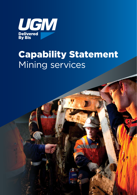

## Capability Statement Mining services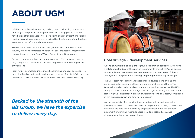# **ABOUT UGM**

UGM is one of Australia's leading underground coal mining contractors, providing a comprehensive range of services to keep you on coal. We have built a strong reputation for developing quality, efficient and reliable relationships with our customers provided by the strength of our loyal and experienced workforce and management.

Established in 1997, our roots are deeply embedded in Australia's coal industry. We have completed hundreds of coal projects for major mining companies across New South Wales, Tasmania and Queensland.

Backed by the strength of our parent company, Bis, our expert team is fully equipped to deliver civil construction projects in the underground environment.

From running complete underground coal mining and civil operations, to providing flexible and specialised support to some of Australia's largest coal mining and civil companies, we have the expertise to deliver every day.

*Backed by the strength of the Bis Group, we have the expertise to deliver every day.*



#### Coal drivage – development services

As one of Australia's leading underground coal mining contractors, we have a solid understanding of the specific requirements of Australia's coal sector. Our experienced team members have access to the latest state of the art underground equipment and training, preparing them for any challenge.

The UGM team have significant experience in development drivage and partial and full extraction methods in a variety of strata conditions. This knowledge and experience allows accuracy in results forecasting. The UGM Group has developed mines though various stages including the conceptual stage, highwall stabilisation, driving of Adits surface to coal seam, completion of the mains roadways and longwall gate roads.

We have a variety of scheduling tools including Vulcan and Xpac mine planning software. This combined with our experienced mining professionals, means we are able to create mining proposals based on fit-for-purpose equipment and mining methodologies including detailed sequence planning to suit any mining conditions.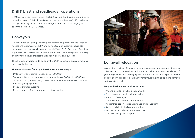#### Drill & blast and roadheader operations

UGM has extensive experience in Drill & Blast and Roadheader operations in hazardous areas. This includes Dyke removal and drivage of drift roadways through a variety of sandstone and conglomerate materials ranging in strength between 30 – 120Mpa.

#### Conveyors

We have been designing, installing and maintaining conveyor and longwall relocations systems since 1997, and have a team of systems specialists managing complex installations across NSW and QLD. Our team of engineers, supervisors and tradesmen understand the coal clearance system criticality and strive to deliver projects that support operational success.

The diversity of works undertaken by the UGM Conveyors division includes but is not limited to:

#### **The refurbishment/redesign, installation and recovery of:**

- Drift conveyor systems capacities of 5000tph
- Trunk and Gate conveyor systems capacities of 3000tph 4000tph
- Jiffy and Caddy (Temporary) drive systems capacities 600 1000tph
- Surface gantry systems
- ▶ Product transfer systems
- Recovery and refurbishment of the above systems



## Longwall relocation

As a major provider of longwall relocation machinery, we are positioned to offer wet or dry hire services during the critical relocation or installation of your longwall. Trained and highly skilled operators provide expert machine control during critical relocation movements, reducing equipment damage and associated risk.

#### **Longwall Relocation services include:**

- ▶ Pre and post longwall relocation work
- ▶ Project management and scheduling
- Statutory Coverage
- ▶ Supervision of activities and resources
- ▶ Plant introduction to site assistance and scheduling
- ▶ Skilled and dedicated plant operators
- Mechanical and electrical trade support
- Diesel servicing and support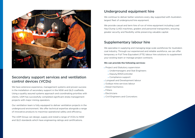

### Secondary support services and ventilation control devices (VCDs)

We have extensive experience, management systems and proven success in the installation of secondary support in the NSW and QLD coalfields. Using a quality assured systems approach and coordinating priorities with clients, UGM has successfully completed significant strata management projects with major mining operators.

Our ventilation team is fully equipped to deliver ventilation projects in the underground environment. We offer technical expertise alongside a range of innovative products to maximise operational safety and efficiency.

The UGM Group can design, supply and install a range of VCDs to NSW and QLD standards which have engineering ratings and certifications.

### Underground equipment hire

We continue to deliver better solutions every day supported with Australia's largest fleet of underground hire equipment.

We provide casual and term hire of run of mine equipment including Load Haul Dump (LHD) machines, graders and personnel transporters, ensuring greater security and flexibility while preserving valuable capital.

## Supplementary labour hire

We specialise in supplying and managing large scale workforces for Australia's coal industry. Through our experienced and reliable workforce, we can offer temporary or Full Time Equivalent (FTE) labour hire solutions to supplement your existing team or manage project contracts.

#### **We can provide the following services:**

- ▶ Project and Statutory supervision
	- Undermanagers and Stat Engineers
	- Deputy/ERZController
	- ▶ Compliance support
- **Longwall and Development labour**
- ▶ Outbye mine services labour
- Diesel mechanics
- **▶**Fitters
- Electricians
- ▶ Civil Engineers and Concretors